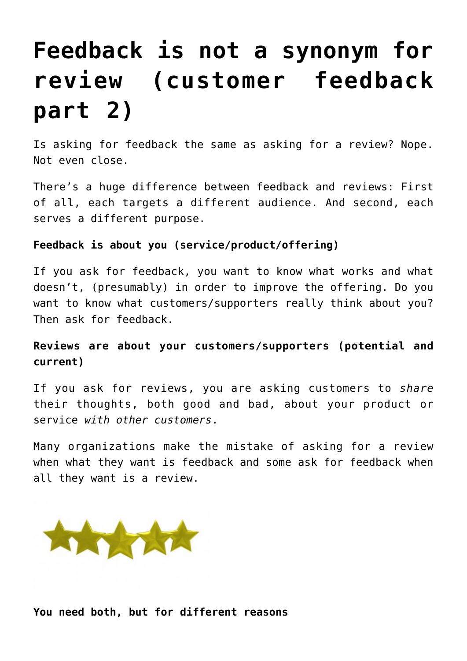# **[Feedback is not a synonym for](https://deborahbrody.com/2016/04/feedback-is-not-a-synonym-for-review-customer-feedback-part-2/) [review \(customer feedback](https://deborahbrody.com/2016/04/feedback-is-not-a-synonym-for-review-customer-feedback-part-2/) [part 2\)](https://deborahbrody.com/2016/04/feedback-is-not-a-synonym-for-review-customer-feedback-part-2/)**

Is asking for feedback the same as asking for a review? Nope. Not even close.

There's a huge difference between feedback and reviews: First of all, each targets a different audience. And second, each serves a different purpose.

## **Feedback is about you (service/product/offering)**

If you ask for feedback, you want to know what works and what doesn't, (presumably) in order to improve the offering. Do you want to know what customers/supporters really think about you? Then ask for feedback.

# **Reviews are about your customers/supporters (potential and current)**

If you ask for reviews, you are asking customers to *share* their thoughts, both good and bad, about your product or service *with other customers*.

Many organizations make the mistake of asking for a review when what they want is feedback and some ask for feedback when all they want is a review.



**You need both, but for different reasons**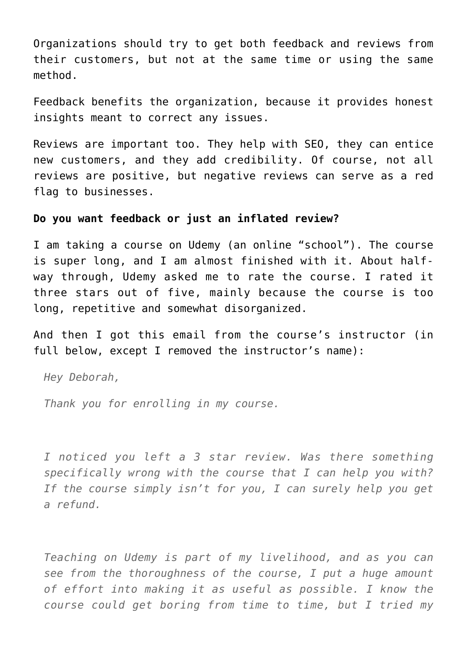Organizations should try to get both feedback and reviews from their customers, but not at the same time or using the same method.

Feedback benefits the organization, because it provides honest insights meant to correct any issues.

Reviews are important too. They help with SEO, they can entice new customers, and they add credibility. Of course, not all reviews are positive, but negative reviews can serve as a red flag to businesses.

### **Do you want feedback or just an inflated review?**

I am taking a course on Udemy (an online "school"). The course is super long, and I am almost finished with it. About halfway through, Udemy asked me to rate the course. I rated it three stars out of five, mainly because the course is too long, repetitive and somewhat disorganized.

And then I got this email from the course's instructor (in full below, except I removed the instructor's name):

*Hey Deborah,*

*Thank you for enrolling in my course.*

*I noticed you left a 3 star review. Was there something specifically wrong with the course that I can help you with? If the course simply isn't for you, I can surely help you get a refund.*

*Teaching on Udemy is part of my livelihood, and as you can see from the thoroughness of the course, I put a huge amount of effort into making it as useful as possible. I know the course could get boring from time to time, but I tried my*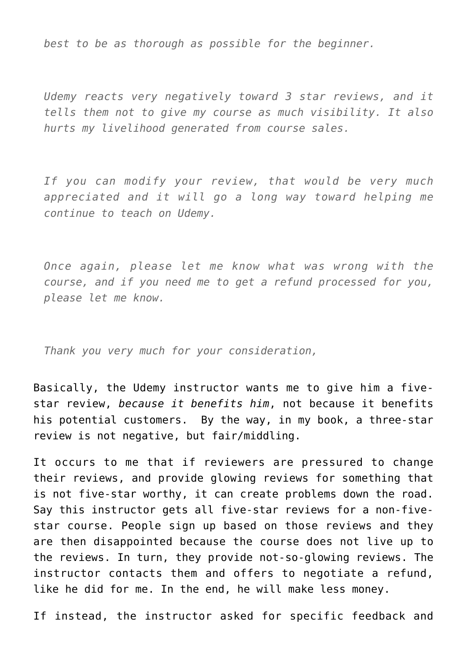*best to be as thorough as possible for the beginner.*

*Udemy reacts very negatively toward 3 star reviews, and it tells them not to give my course as much visibility. It also hurts my livelihood generated from course sales.*

*If you can modify your review, that would be very much appreciated and it will go a long way toward helping me continue to teach on Udemy.*

*Once again, please let me know what was wrong with the course, and if you need me to get a refund processed for you, please let me know.*

*Thank you very much for your consideration,*

Basically, the Udemy instructor wants me to give him a fivestar review, *because it benefits him*, not because it benefits his potential customers. By the way, in my book, a three-star review is not negative, but fair/middling.

It occurs to me that if reviewers are pressured to change their reviews, and provide glowing reviews for something that is not five-star worthy, it can create problems down the road. Say this instructor gets all five-star reviews for a non-fivestar course. People sign up based on those reviews and they are then disappointed because the course does not live up to the reviews. In turn, they provide not-so-glowing reviews. The instructor contacts them and offers to negotiate a refund, like he did for me. In the end, he will make less money.

If instead, the instructor asked for specific feedback and